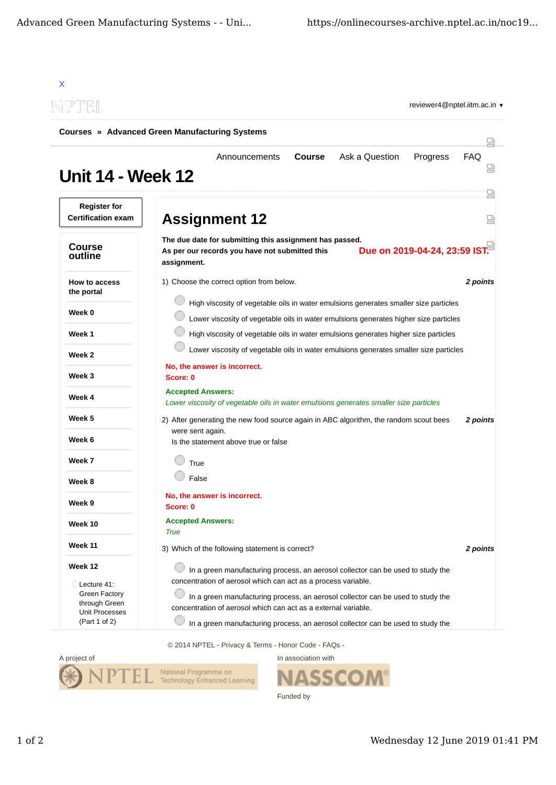|                                                  | Courses » Advanced Green Manufacturing Systems                                                                                                                                                                                      |   |
|--------------------------------------------------|-------------------------------------------------------------------------------------------------------------------------------------------------------------------------------------------------------------------------------------|---|
| <b>Unit 14 - Week 12</b>                         | Ask a Question<br><b>Course</b><br>Progress<br><b>FAQ</b><br>Announcements                                                                                                                                                          |   |
| <b>Register for</b><br><b>Certification exam</b> | <b>Assignment 12</b>                                                                                                                                                                                                                | 냈 |
| <b>Course</b><br>outline                         | The due date for submitting this assignment has passed.<br>Due on 2019-04-24, 23:59 IST.<br>As per our records you have not submitted this<br>assignment.                                                                           |   |
| How to access<br>the portal                      | 1) Choose the correct option from below.<br>2 points                                                                                                                                                                                |   |
| Week 0                                           | High viscosity of vegetable oils in water emulsions generates smaller size particles<br>Lower viscosity of vegetable oils in water emulsions generates higher size particles                                                        |   |
| Week 1                                           | High viscosity of vegetable oils in water emulsions generates higher size particles                                                                                                                                                 |   |
| Week 2                                           | Lower viscosity of vegetable oils in water emulsions generates smaller size particles                                                                                                                                               |   |
| Week 3                                           | No, the answer is incorrect.<br>Score: 0                                                                                                                                                                                            |   |
| Week 4                                           | <b>Accepted Answers:</b><br>Lower viscosity of vegetable oils in water emulsions generates smaller size particles                                                                                                                   |   |
| Week 5                                           | 2) After generating the new food source again in ABC algorithm, the random scout bees<br>2 points                                                                                                                                   |   |
| Week 6                                           | were sent again.<br>Is the statement above true or false                                                                                                                                                                            |   |
| Week 7                                           | True                                                                                                                                                                                                                                |   |
| Week 8                                           | False                                                                                                                                                                                                                               |   |
| Week 9                                           | No, the answer is incorrect.<br>Score: 0                                                                                                                                                                                            |   |
| Week 10                                          | <b>Accepted Answers:</b><br><b>True</b>                                                                                                                                                                                             |   |
| <b>Week 11</b>                                   | 3) Which of the following statement is correct?<br>2 points                                                                                                                                                                         |   |
| Week 12<br>Lecture 41:<br><b>Green Factory</b>   | In a green manufacturing process, an aerosol collector can be used to study the<br>concentration of aerosol which can act as a process variable.<br>In a green manufacturing process, an aerosol collector can be used to study the |   |
| through Green<br>Unit Processes                  | concentration of aerosol which can act as a external variable.                                                                                                                                                                      |   |
| (Part 1 of 2)                                    | In a green manufacturing process, an aerosol collector can be used to study the                                                                                                                                                     |   |

© 2014 NPTEL - Privacy & Terms - Honor Code - FAQs -





Funded by